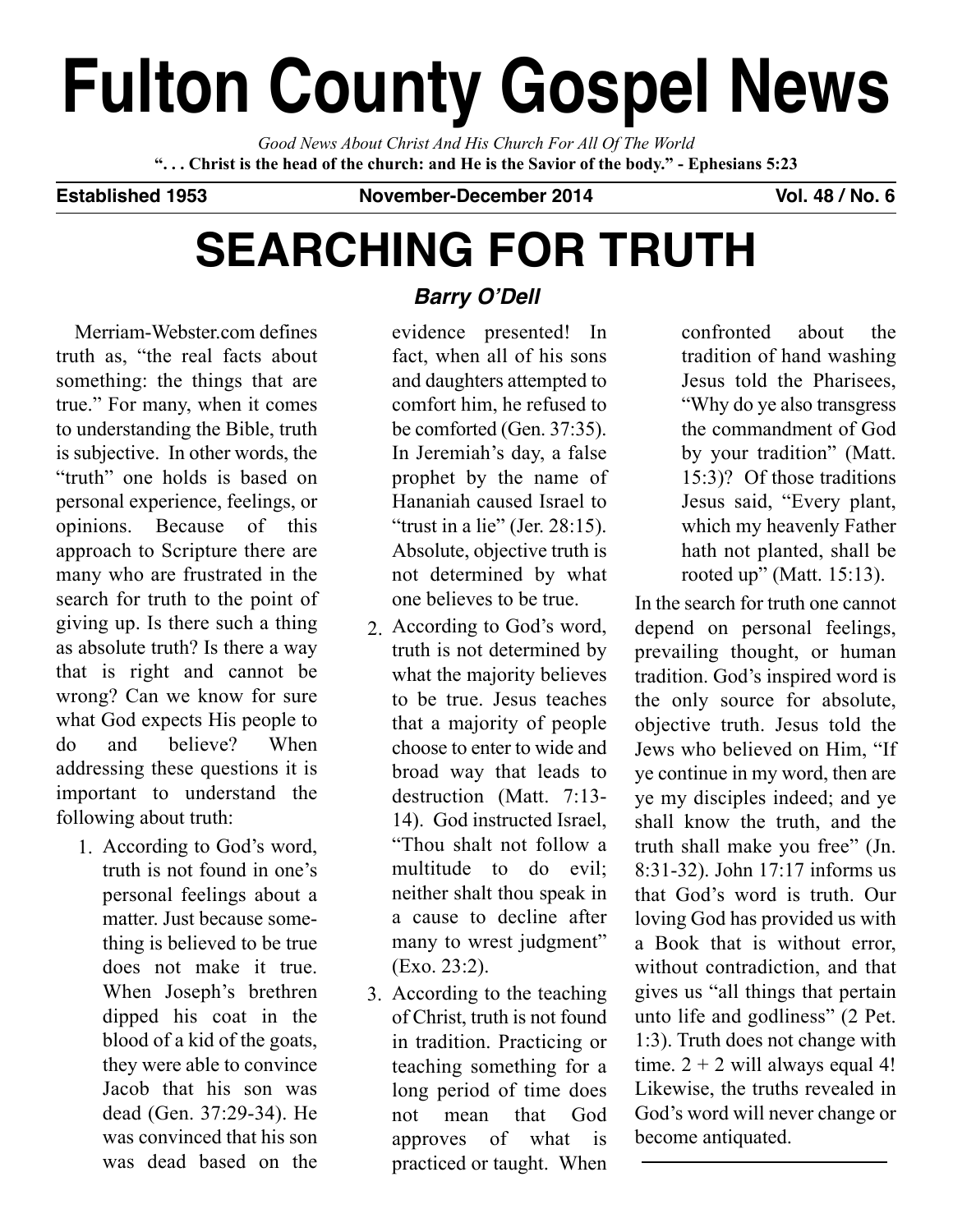# **Fulton County Gospel News**

*Good News About Christ And His Church For All Of The World* "... Christ is the head of the church: and He is the Savior of the body." - Ephesians 5:23

**Established 1953 November-December 2014 Vol. 48 / No. 6**

# **SEARCHING FOR TRUTH**

Merriam-Webster.com defines truth as, "the real facts about something: the things that are true." For many, when it comes to understanding the Bible, truth is subjective. In other words, the "truth" one holds is based on personal experience, feelings, or opinions. Because of this approach to Scripture there are many who are frustrated in the search for truth to the point of giving up. Is there such a thing as absolute truth? Is there a way that is right and cannot be wrong? Can we know for sure what God expects His people to do and believe? When addressing these questions it is important to understand the following about truth:

According to God's word, 1. truth is not found in one's personal feelings about a matter. Just because something is believed to be true does not make it true. When Joseph's brethren dipped his coat in the blood of a kid of the goats, they were able to convince Jacob that his son was dead (Gen. 37:29-34). He was convinced that his son was dead based on the

# **Barry O'Dell**

evidence presented! In fact, when all of his sons and daughters attempted to comfort him, he refused to be comforted (Gen. 37:35). In Jeremiah's day, a false prophet by the name of Hananiah caused Israel to "trust in a lie" (Jer.  $28:15$ ). Absolute, objective truth is not determined by what one believes to be true.

- According to God's word, 2. truth is not determined by what the majority believes to be true. Jesus teaches that a majority of people choose to enter to wide and broad way that leads to destruction (Matt. 7:13- 14). God instructed Israel, "Thou shalt not follow a multitude to do evil; neither shalt thou speak in a cause to decline after many to wrest judgment" (Exo. 23:2).
- According to the teaching 3.of Christ, truth is not found in tradition. Practicing or teaching something for a long period of time does not mean that God approves of what is practiced or taught. When

confronted about the tradition of hand washing Jesus told the Pharisees, "Why do ye also transgress the commandment of God by your tradition" (Matt. 15:3)? Of those traditions Jesus said, "Every plant, which my heavenly Father hath not planted, shall be rooted up" (Matt. 15:13).

In the search for truth one cannot depend on personal feelings, prevailing thought, or human tradition. God's inspired word is the only source for absolute, objective truth. Jesus told the Jews who believed on Him, "If ye continue in my word, then are ye my disciples indeed; and ye shall know the truth, and the truth shall make you free" (Jn. 8:31-32). John 17:17 informs us that God's word is truth. Our loving God has provided us with a Book that is without error, without contradiction, and that gives us "all things that pertain unto life and godliness" (2 Pet. 1:3). Truth does not change with time.  $2 + 2$  will always equal 4! Likewise, the truths revealed in God's word will never change or become antiquated.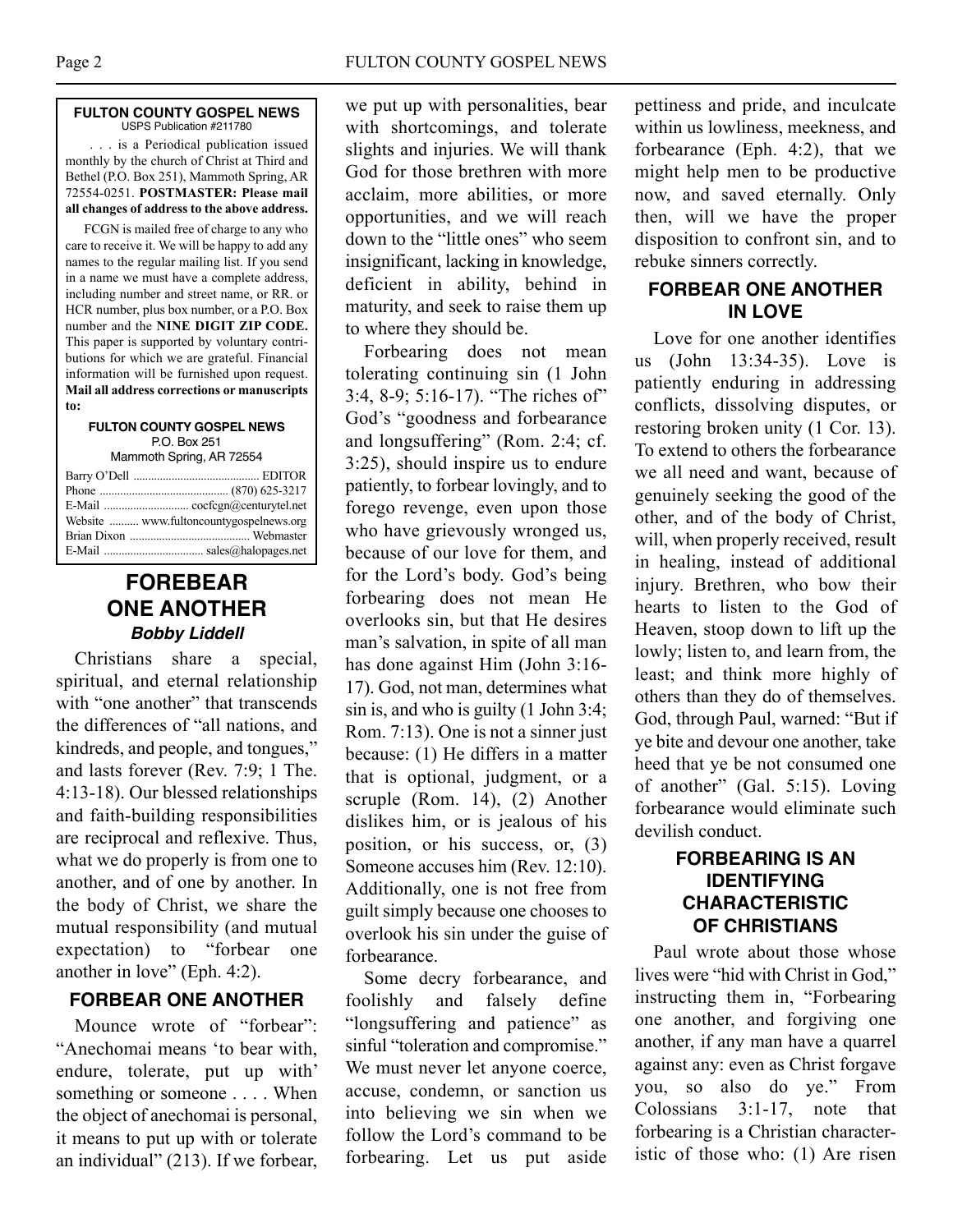#### **FULTON COUNTY GOSPEL NEWS** USPS Publication #211780

. . . is a Periodical publication issued monthly by the church of Christ at Third and Bethel (P.O. Box 251), Mammoth Spring, AR 72554-0251. **POSTMASTER: Please mail all changes of address to the above address.**

FCGN is mailed free of charge to any who care to receive it. We will be happy to add any names to the regular mailing list. If you send in a name we must have a complete address, including number and street name, or RR. or HCR number, plus box number, or a P.O. Box number and the **NINE DIGIT ZIP CODE.** This paper is supported by voluntary contributions for which we are grateful. Financial information will be furnished upon request. **Mail all address corrections or manuscripts to:**

**FULTON COUNTY GOSPEL NEWS** P.O. Box 251

| Mammoth Spring, AR 72554 |  |  |  |
|--------------------------|--|--|--|
|--------------------------|--|--|--|

| Website  www.fultoncountygospelnews.org |
|-----------------------------------------|
|                                         |
|                                         |

## **FOREBEAR ONE ANOTHER Bobby Liddell**

Christians share a special, spiritual, and eternal relationship with "one another" that transcends the differences of "all nations, and kindreds, and people, and tongues," and lasts forever (Rev. 7:9; 1 The. 4:13-18). Our blessed relationships and faith-building responsibilities are reciprocal and reflexive. Thus, what we do properly is from one to another, and of one by another. In the body of Christ, we share the mutual responsibility (and mutual expectation) to "forbear one another in love" (Eph. 4:2).

#### **FORBEAR ONE ANOTHER**

Mounce wrote of "forbear": "Anechomai means 'to bear with, endure, tolerate, put up with' something or someone . . . . When the object of anechomai is personal, it means to put up with or tolerate an individual" (213). If we forbear,

we put up with personalities, bear with shortcomings, and tolerate slights and injuries. We will thank God for those brethren with more acclaim, more abilities, or more opportunities, and we will reach down to the "little ones" who seem insignificant, lacking in knowledge, deficient in ability, behind in maturity, and seek to raise them up to where they should be.

Forbearing does not mean tolerating continuing sin (1 John 3:4, 8-9; 5:16-17). "The riches of" God's "goodness and forbearance and longsuffering" (Rom. 2:4; cf. 3:25), should inspire us to endure patiently, to forbear lovingly, and to forego revenge, even upon those who have grievously wronged us, because of our love for them, and for the Lord's body. God's being forbearing does not mean He overlooks sin, but that He desires man's salvation, in spite of all man has done against Him (John 3:16- 17). God, not man, determines what sin is, and who is guilty (1 John 3:4; Rom. 7:13). One is not a sinner just because: (1) He differs in a matter that is optional, judgment, or a scruple (Rom. 14), (2) Another dislikes him, or is jealous of his position, or his success, or, (3) Someone accuses him (Rev. 12:10). Additionally, one is not free from guilt simply because one chooses to overlook his sin under the guise of forbearance.

Some decry forbearance, and foolishly and falsely define "longsuffering and patience" as sinful "toleration and compromise." We must never let anyone coerce, accuse, condemn, or sanction us into believing we sin when we follow the Lord's command to be forbearing. Let us put aside pettiness and pride, and inculcate within us lowliness, meekness, and forbearance (Eph. 4:2), that we might help men to be productive now, and saved eternally. Only then, will we have the proper disposition to confront sin, and to rebuke sinners correctly.

#### **FORBEAR ONE ANOTHER IN LOVE**

Love for one another identifies us (John 13:34-35). Love is patiently enduring in addressing conflicts, dissolving disputes, or restoring broken unity (1 Cor. 13). To extend to others the forbearance we all need and want, because of genuinely seeking the good of the other, and of the body of Christ, will, when properly received, result in healing, instead of additional injury. Brethren, who bow their hearts to listen to the God of Heaven, stoop down to lift up the lowly; listen to, and learn from, the least; and think more highly of others than they do of themselves. God, through Paul, warned: "But if ye bite and devour one another, take heed that ye be not consumed one of another" (Gal. 5:15). Loving forbearance would eliminate such devilish conduct.

#### **FORBEARING IS AN IDENTIFYING CHARACTERISTIC OF CHRISTIANS**

Paul wrote about those whose lives were "hid with Christ in God," instructing them in, "Forbearing one another, and forgiving one another, if any man have a quarrel against any: even as Christ forgave you, so also do ye." From Colossians 3:1-17, note that forbearing is a Christian characteristic of those who: (1) Are risen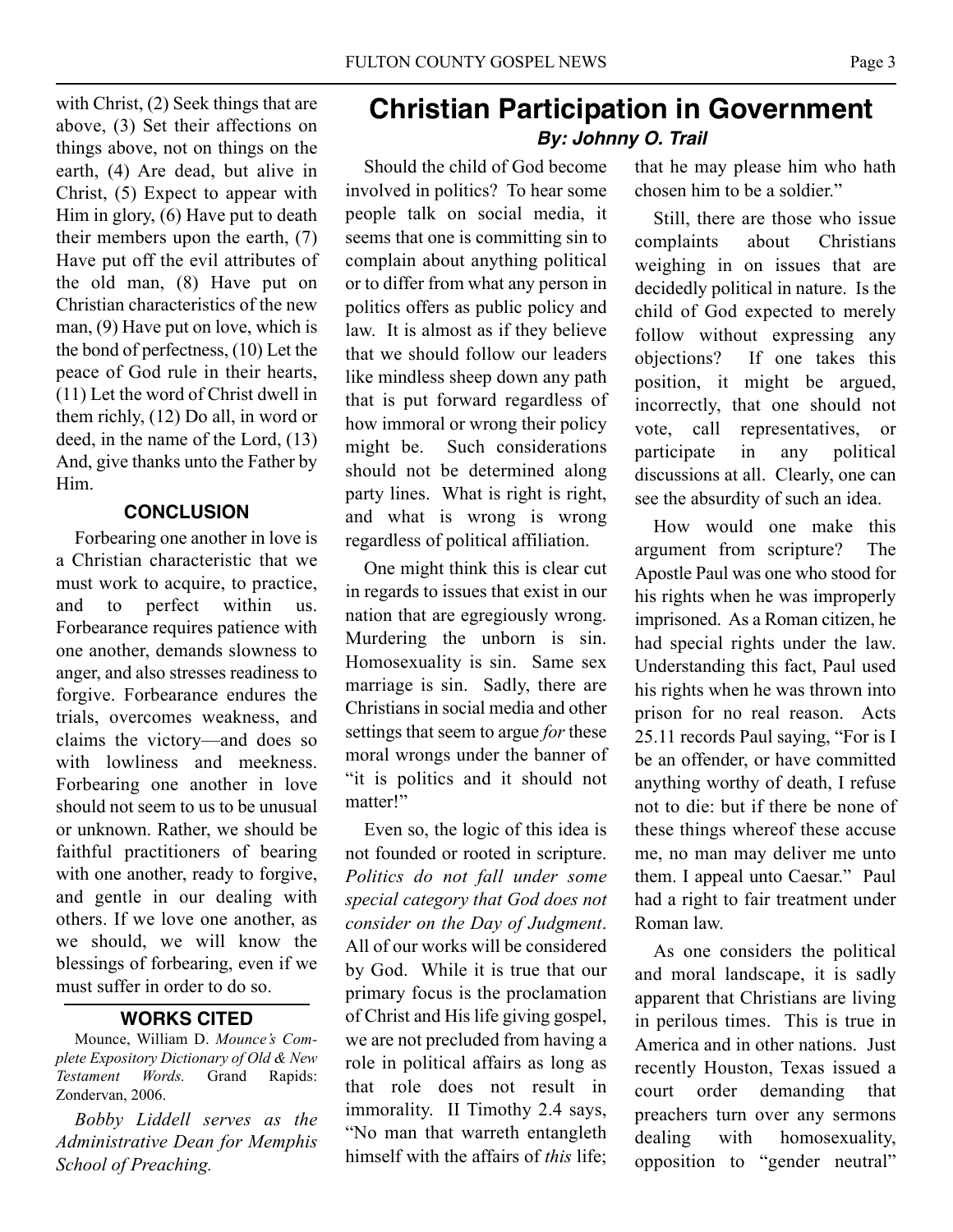with Christ, (2) Seek things that are above, (3) Set their affections on things above, not on things on the earth, (4) Are dead, but alive in Christ, (5) Expect to appear with Him in glory, (6) Have put to death their members upon the earth, (7) Have put off the evil attributes of the old man, (8) Have put on Christian characteristics of the new man, (9) Have put on love, which is the bond of perfectness, (10) Let the peace of God rule in their hearts, (11) Let the word of Christ dwell in them richly, (12) Do all, in word or deed, in the name of the Lord, (13) And, give thanks unto the Father by Him.

#### **CONCLUSION**

Forbearing one another in love is a Christian characteristic that we must work to acquire, to practice, and to perfect within us. Forbearance requires patience with one another, demands slowness to anger, and also stresses readiness to forgive. Forbearance endures the trials, overcomes weakness, and claims the victory—and does so with lowliness and meekness. Forbearing one another in love should not seem to us to be unusual or unknown. Rather, we should be faithful practitioners of bearing with one another, ready to forgive, and gentle in our dealing with others. If we love one another, as we should, we will know the blessings of forbearing, even if we must suffer in order to do so.

#### **WORKS CITED**

Mounce, William D. *Mounce's Complete Expository Dictionary of Old & New Testament Words.* Grand Rapids: Zondervan, 2006.

*Bobby Liddell serves as the Administrative Dean for Memphis School of Preaching.*

# **Christian Participation in Government By: Johnny O. Trail**

Should the child of God become involved in politics? To hear some people talk on social media, it seems that one is committing sin to complain about anything political or to differ from what any person in politics offers as public policy and law. It is almost as if they believe that we should follow our leaders like mindless sheep down any path that is put forward regardless of how immoral or wrong their policy might be. Such considerations should not be determined along party lines. What is right is right, and what is wrong is wrong regardless of political affiliation.

One might think this is clear cut in regards to issues that exist in our nation that are egregiously wrong. Murdering the unborn is sin. Homosexuality is sin. Same sex marriage is sin. Sadly, there are Christians in social media and other settings that seem to argue *for* these moral wrongs under the banner of "it is politics and it should not matter!"

Even so, the logic of this idea is not founded or rooted in scripture. *Politics do not fall under some special category that God does not consider on the Day of Judgment*. All of our works will be considered by God. While it is true that our primary focus is the proclamation of Christ and His life giving gospel, we are not precluded from having a role in political affairs as long as that role does not result in immorality. II Timothy 2.4 says, "No man that warreth entangleth himself with the affairs of *this* life; that he may please him who hath chosen him to be a soldier."

Still, there are those who issue complaints about Christians weighing in on issues that are decidedly political in nature. Is the child of God expected to merely follow without expressing any objections? If one takes this position, it might be argued, incorrectly, that one should not vote, call representatives, or participate in any political discussions at all. Clearly, one can see the absurdity of such an idea.

How would one make this argument from scripture? The Apostle Paul was one who stood for his rights when he was improperly imprisoned. As a Roman citizen, he had special rights under the law. Understanding this fact, Paul used his rights when he was thrown into prison for no real reason. Acts 25.11 records Paul saying, "For is I be an offender, or have committed anything worthy of death, I refuse not to die: but if there be none of these things whereof these accuse me, no man may deliver me unto them. I appeal unto Caesar." Paul had a right to fair treatment under Roman law.

As one considers the political and moral landscape, it is sadly apparent that Christians are living in perilous times. This is true in America and in other nations. Just recently Houston, Texas issued a court order demanding that preachers turn over any sermons dealing with homosexuality, opposition to "gender neutral"